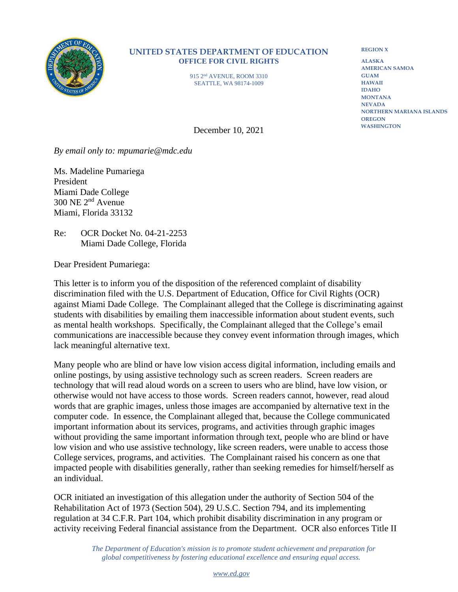

## **UNITED STATES DEPARTMENT OF EDUCATION OFFICE FOR CIVIL RIGHTS**

915 2nd AVENUE, ROOM 3310 SEATTLE, WA 98174-1009

**REGION X**

**ALASKA AMERICAN SAMOA GUAM HAWAII IDAHO MONTANA NEVADA NORTHERN MARIANA ISLANDS OREGON WASHINGTON**

December 10, 2021

*By email only to: mpumarie@mdc.edu*

Ms. Madeline Pumariega President Miami Dade College 300 NE 2nd Avenue Miami, Florida 33132

Re: OCR Docket No. 04-21-2253 Miami Dade College, Florida

Dear President Pumariega:

This letter is to inform you of the disposition of the referenced complaint of disability discrimination filed with the U.S. Department of Education, Office for Civil Rights (OCR) against Miami Dade College. The Complainant alleged that the College is discriminating against students with disabilities by emailing them inaccessible information about student events, such as mental health workshops. Specifically, the Complainant alleged that the College's email communications are inaccessible because they convey event information through images, which lack meaningful alternative text.

Many people who are blind or have low vision access digital information, including emails and online postings, by using assistive technology such as screen readers. Screen readers are technology that will read aloud words on a screen to users who are blind, have low vision, or otherwise would not have access to those words. Screen readers cannot, however, read aloud words that are graphic images, unless those images are accompanied by alternative text in the computer code. In essence, the Complainant alleged that, because the College communicated important information about its services, programs, and activities through graphic images without providing the same important information through text, people who are blind or have low vision and who use assistive technology, like screen readers, were unable to access those College services, programs, and activities. The Complainant raised his concern as one that impacted people with disabilities generally, rather than seeking remedies for himself/herself as an individual.

OCR initiated an investigation of this allegation under the authority of Section 504 of the Rehabilitation Act of 1973 (Section 504), 29 U.S.C. Section 794, and its implementing regulation at 34 C.F.R. Part 104, which prohibit disability discrimination in any program or activity receiving Federal financial assistance from the Department. OCR also enforces Title II

> *The Department of Education's mission is to promote student achievement and preparation for global competitiveness by fostering educational excellence and ensuring equal access.*

> > *[www.ed.gov](http://www.ed.gov/)*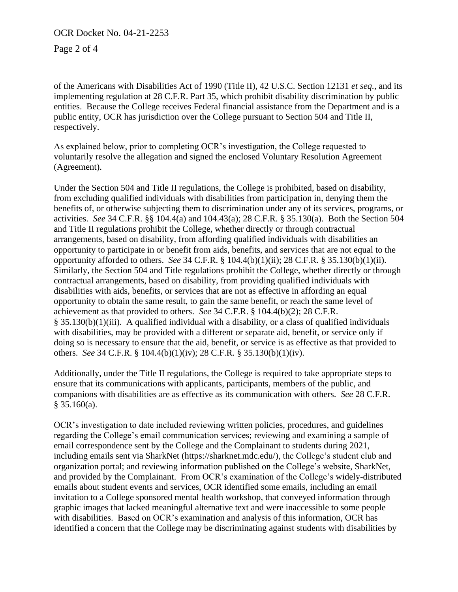OCR Docket No. 04-21-2253

Page 2 of 4

of the Americans with Disabilities Act of 1990 (Title II), 42 U.S.C. Section 12131 *et seq.*, and its implementing regulation at 28 C.F.R. Part 35, which prohibit disability discrimination by public entities. Because the College receives Federal financial assistance from the Department and is a public entity, OCR has jurisdiction over the College pursuant to Section 504 and Title II, respectively.

As explained below, prior to completing OCR's investigation, the College requested to voluntarily resolve the allegation and signed the enclosed Voluntary Resolution Agreement (Agreement).

Under the Section 504 and Title II regulations, the College is prohibited, based on disability, from excluding qualified individuals with disabilities from participation in, denying them the benefits of, or otherwise subjecting them to discrimination under any of its services, programs, or activities. *See* 34 C.F.R. §§ 104.4(a) and 104.43(a); 28 C.F.R. § 35.130(a). Both the Section 504 and Title II regulations prohibit the College, whether directly or through contractual arrangements, based on disability, from affording qualified individuals with disabilities an opportunity to participate in or benefit from aids, benefits, and services that are not equal to the opportunity afforded to others. *See* 34 C.F.R. § 104.4(b)(1)(ii); 28 C.F.R. § 35.130(b)(1)(ii). Similarly, the Section 504 and Title regulations prohibit the College, whether directly or through contractual arrangements, based on disability, from providing qualified individuals with disabilities with aids, benefits, or services that are not as effective in affording an equal opportunity to obtain the same result, to gain the same benefit, or reach the same level of achievement as that provided to others. *See* 34 C.F.R. § 104.4(b)(2); 28 C.F.R. § 35.130(b)(1)(iii). A qualified individual with a disability, or a class of qualified individuals with disabilities, may be provided with a different or separate aid, benefit, or service only if doing so is necessary to ensure that the aid, benefit, or service is as effective as that provided to others. *See* 34 C.F.R. § 104.4(b)(1)(iv); 28 C.F.R. § 35.130(b)(1)(iv).

Additionally, under the Title II regulations, the College is required to take appropriate steps to ensure that its communications with applicants, participants, members of the public, and companions with disabilities are as effective as its communication with others. *See* 28 C.F.R. § 35.160(a).

OCR's investigation to date included reviewing written policies, procedures, and guidelines regarding the College's email communication services; reviewing and examining a sample of email correspondence sent by the College and the Complainant to students during 2021, including emails sent via SharkNet (https://sharknet.mdc.edu/), the College's student club and organization portal; and reviewing information published on the College's website, SharkNet, and provided by the Complainant. From OCR's examination of the College's widely-distributed emails about student events and services, OCR identified some emails, including an email invitation to a College sponsored mental health workshop, that conveyed information through graphic images that lacked meaningful alternative text and were inaccessible to some people with disabilities. Based on OCR's examination and analysis of this information, OCR has identified a concern that the College may be discriminating against students with disabilities by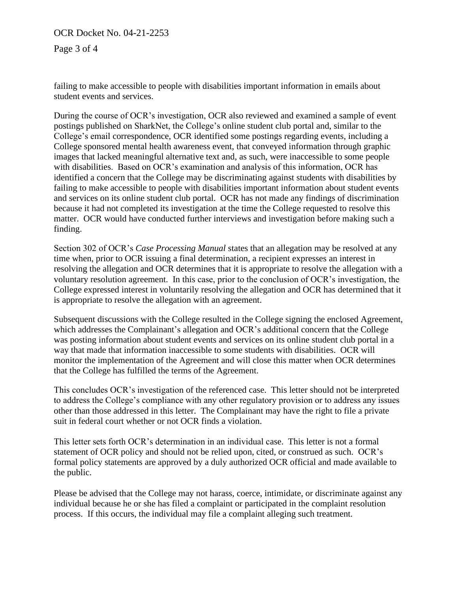OCR Docket No. 04-21-2253

Page 3 of 4

failing to make accessible to people with disabilities important information in emails about student events and services.

During the course of OCR's investigation, OCR also reviewed and examined a sample of event postings published on SharkNet, the College's online student club portal and, similar to the College's email correspondence, OCR identified some postings regarding events, including a College sponsored mental health awareness event, that conveyed information through graphic images that lacked meaningful alternative text and, as such, were inaccessible to some people with disabilities. Based on OCR's examination and analysis of this information, OCR has identified a concern that the College may be discriminating against students with disabilities by failing to make accessible to people with disabilities important information about student events and services on its online student club portal. OCR has not made any findings of discrimination because it had not completed its investigation at the time the College requested to resolve this matter. OCR would have conducted further interviews and investigation before making such a finding.

Section 302 of OCR's *Case Processing Manual* states that an allegation may be resolved at any time when, prior to OCR issuing a final determination, a recipient expresses an interest in resolving the allegation and OCR determines that it is appropriate to resolve the allegation with a voluntary resolution agreement. In this case, prior to the conclusion of OCR's investigation, the College expressed interest in voluntarily resolving the allegation and OCR has determined that it is appropriate to resolve the allegation with an agreement.

Subsequent discussions with the College resulted in the College signing the enclosed Agreement, which addresses the Complainant's allegation and OCR's additional concern that the College was posting information about student events and services on its online student club portal in a way that made that information inaccessible to some students with disabilities. OCR will monitor the implementation of the Agreement and will close this matter when OCR determines that the College has fulfilled the terms of the Agreement.

This concludes OCR's investigation of the referenced case. This letter should not be interpreted to address the College's compliance with any other regulatory provision or to address any issues other than those addressed in this letter. The Complainant may have the right to file a private suit in federal court whether or not OCR finds a violation.

This letter sets forth OCR's determination in an individual case. This letter is not a formal statement of OCR policy and should not be relied upon, cited, or construed as such. OCR's formal policy statements are approved by a duly authorized OCR official and made available to the public.

Please be advised that the College may not harass, coerce, intimidate, or discriminate against any individual because he or she has filed a complaint or participated in the complaint resolution process. If this occurs, the individual may file a complaint alleging such treatment.